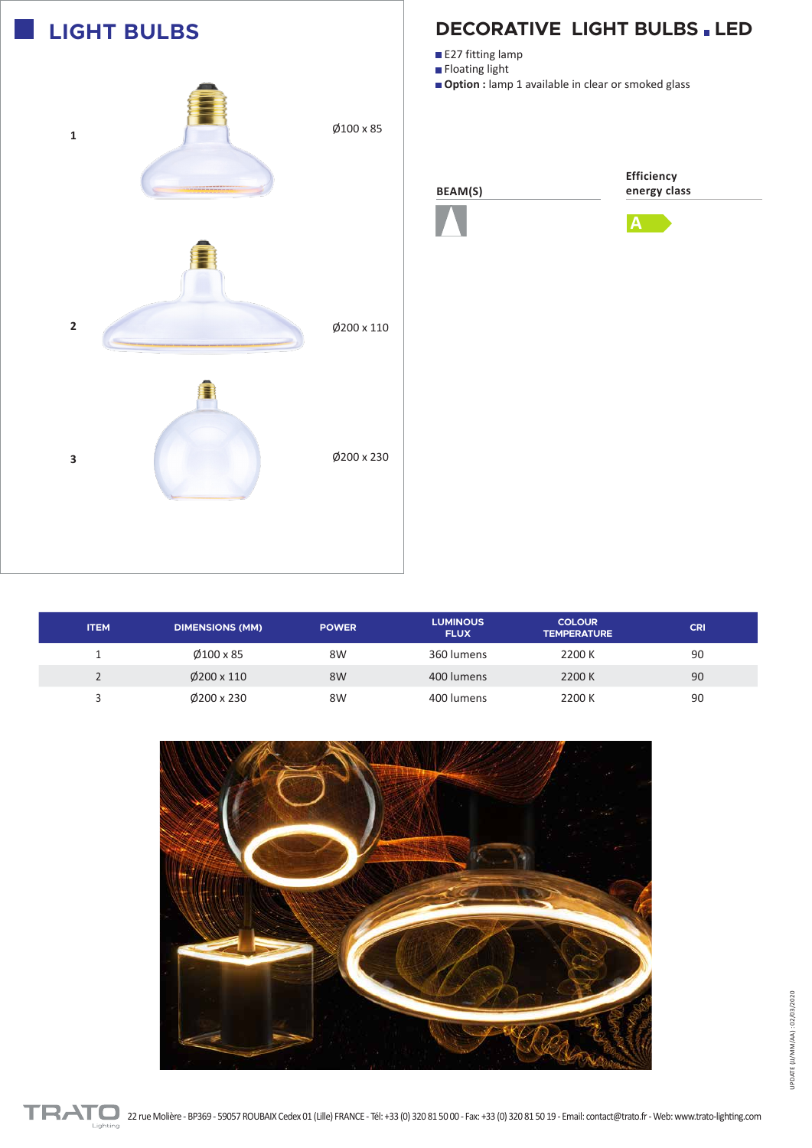

## **DECORATIVE LIGHT BULBS . LED**

■ E27 fitting lamp

**Floating light** 

**Option :** lamp 1 available in clear or smoked glass







| <b>ITEM</b> | <b>DIMENSIONS (MM)</b> | <b>POWER</b> | <b>LUMINOUS</b><br><b>FLUX</b> | <b>COLOUR</b><br><b>TEMPERATURE</b> | <b>CRI</b> |
|-------------|------------------------|--------------|--------------------------------|-------------------------------------|------------|
| л.          | $\emptyset$ 100 x 85   | 8W           | 360 lumens                     | 2200 K                              | 90         |
|             | $\emptyset$ 200 x 110  | 8W           | 400 lumens                     | 2200 K                              | 90         |
|             | $\emptyset$ 200 x 230  | 8W           | 400 lumens                     | 2200 K                              | 90         |
|             |                        |              |                                |                                     |            |



UPDATE (JJ/MM/AA): 02/03/2020 UPDATE (JJ/MM/AA) : 02/03/2020